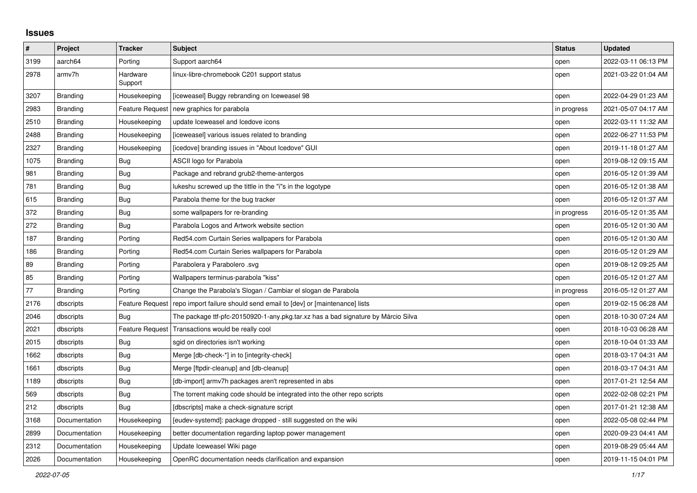## **Issues**

| #    | Project         | <b>Tracker</b>         | <b>Subject</b>                                                                    | <b>Status</b> | <b>Updated</b>      |
|------|-----------------|------------------------|-----------------------------------------------------------------------------------|---------------|---------------------|
| 3199 | aarch64         | Porting                | Support aarch64                                                                   | open          | 2022-03-11 06:13 PM |
| 2978 | armv7h          | Hardware<br>Support    | linux-libre-chromebook C201 support status                                        | open          | 2021-03-22 01:04 AM |
| 3207 | Branding        | Housekeeping           | [iceweasel] Buggy rebranding on Iceweasel 98                                      | open          | 2022-04-29 01:23 AM |
| 2983 | Branding        | <b>Feature Request</b> | new graphics for parabola                                                         | in progress   | 2021-05-07 04:17 AM |
| 2510 | Branding        | Housekeeping           | update Iceweasel and Icedove icons                                                | open          | 2022-03-11 11:32 AM |
| 2488 | Branding        | Housekeeping           | [iceweasel] various issues related to branding                                    | open          | 2022-06-27 11:53 PM |
| 2327 | <b>Branding</b> | Housekeeping           | [icedove] branding issues in "About Icedove" GUI                                  | open          | 2019-11-18 01:27 AM |
| 1075 | Branding        | <b>Bug</b>             | ASCII logo for Parabola                                                           | open          | 2019-08-12 09:15 AM |
| 981  | Branding        | Bug                    | Package and rebrand grub2-theme-antergos                                          | open          | 2016-05-12 01:39 AM |
| 781  | Branding        | <b>Bug</b>             | lukeshu screwed up the tittle in the "i"s in the logotype                         | open          | 2016-05-12 01:38 AM |
| 615  | Branding        | Bug                    | Parabola theme for the bug tracker                                                | open          | 2016-05-12 01:37 AM |
| 372  | Branding        | <b>Bug</b>             | some wallpapers for re-branding                                                   | in progress   | 2016-05-12 01:35 AM |
| 272  | <b>Branding</b> | <b>Bug</b>             | Parabola Logos and Artwork website section                                        | open          | 2016-05-12 01:30 AM |
| 187  | <b>Branding</b> | Porting                | Red54.com Curtain Series wallpapers for Parabola                                  | open          | 2016-05-12 01:30 AM |
| 186  | <b>Branding</b> | Porting                | Red54.com Curtain Series wallpapers for Parabola                                  | open          | 2016-05-12 01:29 AM |
| 89   | <b>Branding</b> | Porting                | Parabolera y Parabolero .svg                                                      | open          | 2019-08-12 09:25 AM |
| 85   | Branding        | Porting                | Wallpapers terminus-parabola "kiss"                                               | open          | 2016-05-12 01:27 AM |
| 77   | Branding        | Porting                | Change the Parabola's Slogan / Cambiar el slogan de Parabola                      | in progress   | 2016-05-12 01:27 AM |
| 2176 | dbscripts       | Feature Request        | repo import failure should send email to [dev] or [maintenance] lists             | open          | 2019-02-15 06:28 AM |
| 2046 | dbscripts       | <b>Bug</b>             | The package ttf-pfc-20150920-1-any.pkg.tar.xz has a bad signature by Márcio Silva | open          | 2018-10-30 07:24 AM |
| 2021 | dbscripts       | <b>Feature Request</b> | Transactions would be really cool                                                 | open          | 2018-10-03 06:28 AM |
| 2015 | dbscripts       | Bug                    | sgid on directories isn't working                                                 | open          | 2018-10-04 01:33 AM |
| 1662 | dbscripts       | Bug                    | Merge [db-check-*] in to [integrity-check]                                        | open          | 2018-03-17 04:31 AM |
| 1661 | dbscripts       | Bug                    | Merge [ftpdir-cleanup] and [db-cleanup]                                           | open          | 2018-03-17 04:31 AM |
| 1189 | dbscripts       | <b>Bug</b>             | [db-import] armv7h packages aren't represented in abs                             | open          | 2017-01-21 12:54 AM |
| 569  | dbscripts       | <b>Bug</b>             | The torrent making code should be integrated into the other repo scripts          | open          | 2022-02-08 02:21 PM |
| 212  | dbscripts       | Bug                    | [dbscripts] make a check-signature script                                         | open          | 2017-01-21 12:38 AM |
| 3168 | Documentation   | Housekeeping           | [eudev-systemd]: package dropped - still suggested on the wiki                    | open          | 2022-05-08 02:44 PM |
| 2899 | Documentation   | Housekeeping           | better documentation regarding laptop power management                            | open          | 2020-09-23 04:41 AM |
| 2312 | Documentation   | Housekeeping           | Update Iceweasel Wiki page                                                        | open          | 2019-08-29 05:44 AM |
| 2026 | Documentation   | Housekeeping           | OpenRC documentation needs clarification and expansion                            | open          | 2019-11-15 04:01 PM |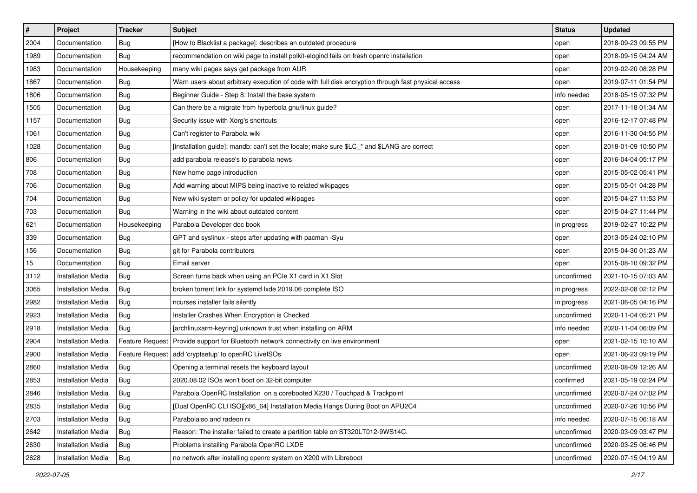| $\pmb{\#}$ | Project                   | <b>Tracker</b>  | <b>Subject</b>                                                                                      | <b>Status</b> | <b>Updated</b>      |
|------------|---------------------------|-----------------|-----------------------------------------------------------------------------------------------------|---------------|---------------------|
| 2004       | Documentation             | Bug             | [How to Blacklist a package]: describes an outdated procedure                                       | open          | 2018-09-23 09:55 PM |
| 1989       | Documentation             | Bug             | recommendation on wiki page to install polkit-elogind fails on fresh openrc installation            | open          | 2018-09-15 04:24 AM |
| 1983       | Documentation             | Housekeeping    | many wiki pages says get package from AUR                                                           | open          | 2019-02-20 08:28 PM |
| 1867       | Documentation             | Bug             | Warn users about arbitrary execution of code with full disk encryption through fast physical access | open          | 2019-07-11 01:54 PM |
| 1806       | Documentation             | Bug             | Beginner Guide - Step 8: Install the base system                                                    | info needed   | 2018-05-15 07:32 PM |
| 1505       | Documentation             | Bug             | Can there be a migrate from hyperbola gnu/linux guide?                                              | open          | 2017-11-18 01:34 AM |
| 1157       | Documentation             | Bug             | Security issue with Xorg's shortcuts                                                                | open          | 2016-12-17 07:48 PM |
| 1061       | Documentation             | Bug             | Can't register to Parabola wiki                                                                     | open          | 2016-11-30 04:55 PM |
| 1028       | Documentation             | Bug             | [installation guide]: mandb: can't set the locale; make sure \$LC_* and \$LANG are correct          | open          | 2018-01-09 10:50 PM |
| 806        | Documentation             | Bug             | add parabola release's to parabola news                                                             | open          | 2016-04-04 05:17 PM |
| 708        | Documentation             | Bug             | New home page introduction                                                                          | open          | 2015-05-02 05:41 PM |
| 706        | Documentation             | Bug             | Add warning about MIPS being inactive to related wikipages                                          | open          | 2015-05-01 04:28 PM |
| 704        | Documentation             | Bug             | New wiki system or policy for updated wikipages                                                     | open          | 2015-04-27 11:53 PM |
| 703        | Documentation             | Bug             | Warning in the wiki about outdated content                                                          | open          | 2015-04-27 11:44 PM |
| 621        | Documentation             | Housekeeping    | Parabola Developer doc book                                                                         | in progress   | 2019-02-27 10:22 PM |
| 339        | Documentation             | Bug             | GPT and syslinux - steps after updating with pacman -Syu                                            | open          | 2013-05-24 02:10 PM |
| 156        | Documentation             | Bug             | git for Parabola contributors                                                                       | open          | 2015-04-30 01:23 AM |
| 15         | Documentation             | Bug             | Email server                                                                                        | open          | 2015-08-10 09:32 PM |
| 3112       | <b>Installation Media</b> | Bug             | Screen turns back when using an PCIe X1 card in X1 Slot                                             | unconfirmed   | 2021-10-15 07:03 AM |
| 3065       | <b>Installation Media</b> | Bug             | broken torrent link for systemd lxde 2019.06 complete ISO                                           | in progress   | 2022-02-08 02:12 PM |
| 2982       | <b>Installation Media</b> | Bug             | ncurses installer fails silently                                                                    | in progress   | 2021-06-05 04:16 PM |
| 2923       | <b>Installation Media</b> | Bug             | Installer Crashes When Encryption is Checked                                                        | unconfirmed   | 2020-11-04 05:21 PM |
| 2918       | <b>Installation Media</b> | Bug             | [archlinuxarm-keyring] unknown trust when installing on ARM                                         | info needed   | 2020-11-04 06:09 PM |
| 2904       | <b>Installation Media</b> | Feature Request | Provide support for Bluetooth network connectivity on live environment                              | open          | 2021-02-15 10:10 AM |
| 2900       | <b>Installation Media</b> | Feature Request | add 'cryptsetup' to openRC LiveISOs                                                                 | open          | 2021-06-23 09:19 PM |
| 2860       | <b>Installation Media</b> | Bug             | Opening a terminal resets the keyboard layout                                                       | unconfirmed   | 2020-08-09 12:26 AM |
| 2853       | <b>Installation Media</b> | Bug             | 2020.08.02 ISOs won't boot on 32-bit computer                                                       | confirmed     | 2021-05-19 02:24 PM |
| 2846       | <b>Installation Media</b> | <b>Bug</b>      | Parabola OpenRC Installation on a corebooted X230 / Touchpad & Trackpoint                           | unconfirmed   | 2020-07-24 07:02 PM |
| 2835       | <b>Installation Media</b> | Bug             | [Dual OpenRC CLI ISO][x86 64] Installation Media Hangs During Boot on APU2C4                        | unconfirmed   | 2020-07-26 10:56 PM |
| 2703       | <b>Installation Media</b> | <b>Bug</b>      | Parabolaiso and radeon rx                                                                           | info needed   | 2020-07-15 06:18 AM |
| 2642       | <b>Installation Media</b> | <b>Bug</b>      | Reason: The installer failed to create a partition table on ST320LT012-9WS14C.                      | unconfirmed   | 2020-03-09 03:47 PM |
| 2630       | <b>Installation Media</b> | <b>Bug</b>      | Problems installing Parabola OpenRC LXDE                                                            | unconfirmed   | 2020-03-25 06:46 PM |
| 2628       | <b>Installation Media</b> | Bug             | no network after installing openrc system on X200 with Libreboot                                    | unconfirmed   | 2020-07-15 04:19 AM |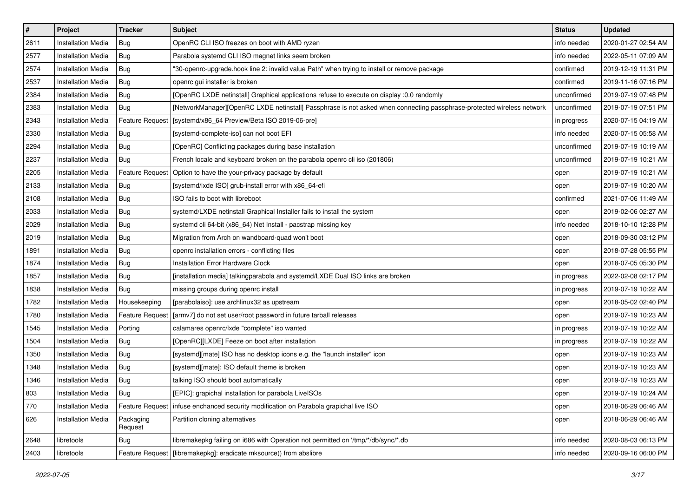| $\pmb{\#}$ | Project                   | <b>Tracker</b>         | <b>Subject</b>                                                                                                         | <b>Status</b> | <b>Updated</b>      |
|------------|---------------------------|------------------------|------------------------------------------------------------------------------------------------------------------------|---------------|---------------------|
| 2611       | Installation Media        | <b>Bug</b>             | OpenRC CLI ISO freezes on boot with AMD ryzen                                                                          | info needed   | 2020-01-27 02:54 AM |
| 2577       | Installation Media        | <b>Bug</b>             | Parabola systemd CLI ISO magnet links seem broken                                                                      | info needed   | 2022-05-11 07:09 AM |
| 2574       | <b>Installation Media</b> | <b>Bug</b>             | "30-openrc-upgrade.hook line 2: invalid value Path" when trying to install or remove package                           | confirmed     | 2019-12-19 11:31 PM |
| 2537       | Installation Media        | Bug                    | openrc gui installer is broken                                                                                         | confirmed     | 2019-11-16 07:16 PM |
| 2384       | <b>Installation Media</b> | <b>Bug</b>             | [OpenRC LXDE netinstall] Graphical applications refuse to execute on display :0.0 randomly                             | unconfirmed   | 2019-07-19 07:48 PM |
| 2383       | <b>Installation Media</b> | <b>Bug</b>             | [NetworkManager][OpenRC LXDE netinstall] Passphrase is not asked when connecting passphrase-protected wireless network | unconfirmed   | 2019-07-19 07:51 PM |
| 2343       | <b>Installation Media</b> | Feature Request        | [systemd/x86_64 Preview/Beta ISO 2019-06-pre]                                                                          | in progress   | 2020-07-15 04:19 AM |
| 2330       | Installation Media        | <b>Bug</b>             | [systemd-complete-iso] can not boot EFI                                                                                | info needed   | 2020-07-15 05:58 AM |
| 2294       | <b>Installation Media</b> | <b>Bug</b>             | [OpenRC] Conflicting packages during base installation                                                                 | unconfirmed   | 2019-07-19 10:19 AM |
| 2237       | <b>Installation Media</b> | <b>Bug</b>             | French locale and keyboard broken on the parabola openrc cli iso (201806)                                              | unconfirmed   | 2019-07-19 10:21 AM |
| 2205       | Installation Media        | <b>Feature Request</b> | Option to have the your-privacy package by default                                                                     | open          | 2019-07-19 10:21 AM |
| 2133       | <b>Installation Media</b> | <b>Bug</b>             | [systemd/lxde ISO] grub-install error with x86_64-efi                                                                  | open          | 2019-07-19 10:20 AM |
| 2108       | <b>Installation Media</b> | Bug                    | ISO fails to boot with libreboot                                                                                       | confirmed     | 2021-07-06 11:49 AM |
| 2033       | <b>Installation Media</b> | <b>Bug</b>             | systemd/LXDE netinstall Graphical Installer fails to install the system                                                | open          | 2019-02-06 02:27 AM |
| 2029       | <b>Installation Media</b> | <b>Bug</b>             | systemd cli 64-bit (x86_64) Net Install - pacstrap missing key                                                         | info needed   | 2018-10-10 12:28 PM |
| 2019       | <b>Installation Media</b> | <b>Bug</b>             | Migration from Arch on wandboard-quad won't boot                                                                       | open          | 2018-09-30 03:12 PM |
| 1891       | Installation Media        | <b>Bug</b>             | openrc installation errors - conflicting files                                                                         | open          | 2018-07-28 05:55 PM |
| 1874       | <b>Installation Media</b> | <b>Bug</b>             | <b>Installation Error Hardware Clock</b>                                                                               | open          | 2018-07-05 05:30 PM |
| 1857       | <b>Installation Media</b> | <b>Bug</b>             | [installation media] talkingparabola and systemd/LXDE Dual ISO links are broken                                        | in progress   | 2022-02-08 02:17 PM |
| 1838       | <b>Installation Media</b> | <b>Bug</b>             | missing groups during openrc install                                                                                   | in progress   | 2019-07-19 10:22 AM |
| 1782       | Installation Media        | Housekeeping           | [parabolaiso]: use archlinux32 as upstream                                                                             | open          | 2018-05-02 02:40 PM |
| 1780       | <b>Installation Media</b> | Feature Request        | [armv7] do not set user/root password in future tarball releases                                                       | open          | 2019-07-19 10:23 AM |
| 1545       | <b>Installation Media</b> | Porting                | calamares openrc/lxde "complete" iso wanted                                                                            | in progress   | 2019-07-19 10:22 AM |
| 1504       | Installation Media        | Bug                    | [OpenRC][LXDE] Feeze on boot after installation                                                                        | in progress   | 2019-07-19 10:22 AM |
| 1350       | <b>Installation Media</b> | Bug                    | [systemd][mate] ISO has no desktop icons e.g. the "launch installer" icon                                              | open          | 2019-07-19 10:23 AM |
| 1348       | <b>Installation Media</b> | <b>Bug</b>             | [systemd][mate]: ISO default theme is broken                                                                           | open          | 2019-07-19 10:23 AM |
| 1346       | <b>Installation Media</b> | <b>Bug</b>             | talking ISO should boot automatically                                                                                  | open          | 2019-07-19 10:23 AM |
| 803        | <b>Installation Media</b> | <b>Bug</b>             | [EPIC]: grapichal installation for parabola LiveISOs                                                                   | open          | 2019-07-19 10:24 AM |
| 770        | <b>Installation Media</b> | <b>Feature Request</b> | infuse enchanced security modification on Parabola grapichal live ISO                                                  | open          | 2018-06-29 06:46 AM |
| 626        | <b>Installation Media</b> | Packaging<br>Request   | Partition cloning alternatives                                                                                         | open          | 2018-06-29 06:46 AM |
| 2648       | libretools                | <b>Bug</b>             | libremakepkg failing on i686 with Operation not permitted on '/tmp/*/db/sync/*.db                                      | info needed   | 2020-08-03 06:13 PM |
| 2403       | libretools                |                        | Feature Request   [libremakepkg]: eradicate mksource() from abslibre                                                   | info needed   | 2020-09-16 06:00 PM |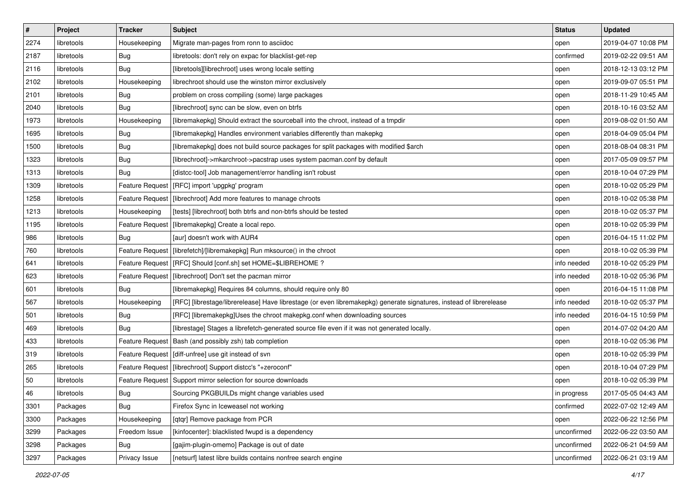| #    | Project    | <b>Tracker</b>  | <b>Subject</b>                                                                                                      | <b>Status</b> | <b>Updated</b>      |
|------|------------|-----------------|---------------------------------------------------------------------------------------------------------------------|---------------|---------------------|
| 2274 | libretools | Housekeeping    | Migrate man-pages from ronn to asciidoc                                                                             | open          | 2019-04-07 10:08 PM |
| 2187 | libretools | Bug             | libretools: don't rely on expac for blacklist-get-rep                                                               | confirmed     | 2019-02-22 09:51 AM |
| 2116 | libretools | Bug             | [libretools][librechroot] uses wrong locale setting                                                                 | open          | 2018-12-13 03:12 PM |
| 2102 | libretools | Housekeeping    | librechroot should use the winston mirror exclusively                                                               | open          | 2019-09-07 05:51 PM |
| 2101 | libretools | <b>Bug</b>      | problem on cross compiling (some) large packages                                                                    | open          | 2018-11-29 10:45 AM |
| 2040 | libretools | Bug             | [librechroot] sync can be slow, even on btrfs                                                                       | open          | 2018-10-16 03:52 AM |
| 1973 | libretools | Housekeeping    | [libremakepkg] Should extract the sourceball into the chroot, instead of a tmpdir                                   | open          | 2019-08-02 01:50 AM |
| 1695 | libretools | Bug             | [libremakepkg] Handles environment variables differently than makepkg                                               | open          | 2018-04-09 05:04 PM |
| 1500 | libretools | <b>Bug</b>      | [libremakepkg] does not build source packages for split packages with modified \$arch                               | open          | 2018-08-04 08:31 PM |
| 1323 | libretools | <b>Bug</b>      | [librechroot]->mkarchroot->pacstrap uses system pacman.conf by default                                              | open          | 2017-05-09 09:57 PM |
| 1313 | libretools | Bug             | [distcc-tool] Job management/error handling isn't robust                                                            | open          | 2018-10-04 07:29 PM |
| 1309 | libretools |                 | Feature Request   [RFC] import 'upgpkg' program                                                                     | open          | 2018-10-02 05:29 PM |
| 1258 | libretools | Feature Request | Ilibrechroot] Add more features to manage chroots                                                                   | open          | 2018-10-02 05:38 PM |
| 1213 | libretools | Housekeeping    | [tests] [librechroot] both btrfs and non-btrfs should be tested                                                     | open          | 2018-10-02 05:37 PM |
| 1195 | libretools | Feature Request | [libremakepkg] Create a local repo.                                                                                 | open          | 2018-10-02 05:39 PM |
| 986  | libretools | Bug             | [aur] doesn't work with AUR4                                                                                        | open          | 2016-04-15 11:02 PM |
| 760  | libretools |                 | Feature Request   [librefetch]/[libremakepkg] Run mksource() in the chroot                                          | open          | 2018-10-02 05:39 PM |
| 641  | libretools | Feature Request | [RFC] Should [conf.sh] set HOME=\$LIBREHOME?                                                                        | info needed   | 2018-10-02 05:29 PM |
| 623  | libretools |                 | Feature Request   [librechroot] Don't set the pacman mirror                                                         | info needed   | 2018-10-02 05:36 PM |
| 601  | libretools | Bug             | [libremakepkg] Requires 84 columns, should require only 80                                                          | open          | 2016-04-15 11:08 PM |
| 567  | libretools | Housekeeping    | [RFC] [librestage/librerelease] Have librestage (or even libremakepkg) generate signatures, instead of librerelease | info needed   | 2018-10-02 05:37 PM |
| 501  | libretools | Bug             | [RFC] [libremakepkg]Uses the chroot makepkg.conf when downloading sources                                           | info needed   | 2016-04-15 10:59 PM |
| 469  | libretools | Bug             | [librestage] Stages a librefetch-generated source file even if it was not generated locally.                        | open          | 2014-07-02 04:20 AM |
| 433  | libretools |                 | Feature Request   Bash (and possibly zsh) tab completion                                                            | open          | 2018-10-02 05:36 PM |
| 319  | libretools |                 | Feature Request   [diff-unfree] use git instead of svn                                                              | open          | 2018-10-02 05:39 PM |
| 265  | libretools |                 | Feature Request   [librechroot] Support distcc's "+zeroconf"                                                        | open          | 2018-10-04 07:29 PM |
| 50   | libretools |                 | Feature Request Support mirror selection for source downloads                                                       | open          | 2018-10-02 05:39 PM |
| 46   | libretools | Bug             | Sourcing PKGBUILDs might change variables used                                                                      | in progress   | 2017-05-05 04:43 AM |
| 3301 | Packages   | Bug             | Firefox Sync in Iceweasel not working                                                                               | confirmed     | 2022-07-02 12:49 AM |
| 3300 | Packages   | Housekeeping    | [qtqr] Remove package from PCR                                                                                      | open          | 2022-06-22 12:56 PM |
| 3299 | Packages   | Freedom Issue   | [kinfocenter]: blacklisted fwupd is a dependency                                                                    | unconfirmed   | 2022-06-22 03:50 AM |
| 3298 | Packages   | Bug             | [gajim-plugin-omemo] Package is out of date                                                                         | unconfirmed   | 2022-06-21 04:59 AM |
| 3297 | Packages   | Privacy Issue   | [netsurf] latest libre builds contains nonfree search engine                                                        | unconfirmed   | 2022-06-21 03:19 AM |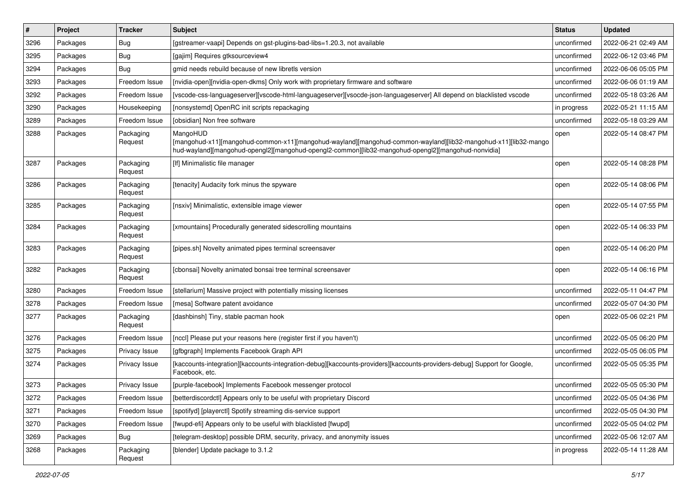| #    | Project  | <b>Tracker</b>       | <b>Subject</b>                                                                                                                                                                                                                   | <b>Status</b> | <b>Updated</b>      |
|------|----------|----------------------|----------------------------------------------------------------------------------------------------------------------------------------------------------------------------------------------------------------------------------|---------------|---------------------|
| 3296 | Packages | <b>Bug</b>           | [gstreamer-vaapi] Depends on gst-plugins-bad-libs=1.20.3, not available                                                                                                                                                          | unconfirmed   | 2022-06-21 02:49 AM |
| 3295 | Packages | Bug                  | [gajim] Requires gtksourceview4                                                                                                                                                                                                  | unconfirmed   | 2022-06-12 03:46 PM |
| 3294 | Packages | Bug                  | gmid needs rebuild because of new libretls version                                                                                                                                                                               | unconfirmed   | 2022-06-06 05:05 PM |
| 3293 | Packages | Freedom Issue        | [nvidia-open][nvidia-open-dkms] Only work with proprietary firmware and software                                                                                                                                                 | unconfirmed   | 2022-06-06 01:19 AM |
| 3292 | Packages | Freedom Issue        | [vscode-css-languageserver][vscode-html-languageserver][vsocde-json-languageserver] All depend on blacklisted vscode                                                                                                             | unconfirmed   | 2022-05-18 03:26 AM |
| 3290 | Packages | Housekeeping         | [nonsystemd] OpenRC init scripts repackaging                                                                                                                                                                                     | in progress   | 2022-05-21 11:15 AM |
| 3289 | Packages | Freedom Issue        | [obsidian] Non free software                                                                                                                                                                                                     | unconfirmed   | 2022-05-18 03:29 AM |
| 3288 | Packages | Packaging<br>Request | MangoHUD<br>[mangohud-x11][mangohud-common-x11][mangohud-wayland][mangohud-common-wayland][lib32-mangohud-x11][lib32-mango<br>hud-wayland][mangohud-opengl2][mangohud-opengl2-common][lib32-mangohud-opengl2][mangohud-nonvidia] | open          | 2022-05-14 08:47 PM |
| 3287 | Packages | Packaging<br>Request | [If] Minimalistic file manager                                                                                                                                                                                                   | open          | 2022-05-14 08:28 PM |
| 3286 | Packages | Packaging<br>Request | [tenacity] Audacity fork minus the spyware                                                                                                                                                                                       | open          | 2022-05-14 08:06 PM |
| 3285 | Packages | Packaging<br>Request | [nsxiv] Minimalistic, extensible image viewer                                                                                                                                                                                    | open          | 2022-05-14 07:55 PM |
| 3284 | Packages | Packaging<br>Request | [xmountains] Procedurally generated sidescrolling mountains                                                                                                                                                                      | open          | 2022-05-14 06:33 PM |
| 3283 | Packages | Packaging<br>Request | [pipes.sh] Novelty animated pipes terminal screensaver                                                                                                                                                                           | open          | 2022-05-14 06:20 PM |
| 3282 | Packages | Packaging<br>Request | [cbonsai] Novelty animated bonsai tree terminal screensaver                                                                                                                                                                      | open          | 2022-05-14 06:16 PM |
| 3280 | Packages | Freedom Issue        | [stellarium] Massive project with potentially missing licenses                                                                                                                                                                   | unconfirmed   | 2022-05-11 04:47 PM |
| 3278 | Packages | Freedom Issue        | [mesa] Software patent avoidance                                                                                                                                                                                                 | unconfirmed   | 2022-05-07 04:30 PM |
| 3277 | Packages | Packaging<br>Request | [dashbinsh] Tiny, stable pacman hook                                                                                                                                                                                             | open          | 2022-05-06 02:21 PM |
| 3276 | Packages | Freedom Issue        | [nccl] Please put your reasons here (register first if you haven't)                                                                                                                                                              | unconfirmed   | 2022-05-05 06:20 PM |
| 3275 | Packages | Privacy Issue        | [gfbgraph] Implements Facebook Graph API                                                                                                                                                                                         | unconfirmed   | 2022-05-05 06:05 PM |
| 3274 | Packages | Privacy Issue        | [kaccounts-integration][kaccounts-integration-debug][kaccounts-providers][kaccounts-providers-debug] Support for Google,<br>Facebook, etc.                                                                                       | unconfirmed   | 2022-05-05 05:35 PM |
| 3273 | Packages | Privacy Issue        | [purple-facebook] Implements Facebook messenger protocol                                                                                                                                                                         | unconfirmed   | 2022-05-05 05:30 PM |
| 3272 | Packages | Freedom Issue        | [betterdiscordctl] Appears only to be useful with proprietary Discord                                                                                                                                                            | unconfirmed   | 2022-05-05 04:36 PM |
| 3271 | Packages | Freedom Issue        | [spotifyd] [playerctl] Spotify streaming dis-service support                                                                                                                                                                     | unconfirmed   | 2022-05-05 04:30 PM |
| 3270 | Packages | Freedom Issue        | [fwupd-efi] Appears only to be useful with blacklisted [fwupd]                                                                                                                                                                   | unconfirmed   | 2022-05-05 04:02 PM |
| 3269 | Packages | Bug                  | [telegram-desktop] possible DRM, security, privacy, and anonymity issues                                                                                                                                                         | unconfirmed   | 2022-05-06 12:07 AM |
| 3268 | Packages | Packaging<br>Request | [blender] Update package to 3.1.2                                                                                                                                                                                                | in progress   | 2022-05-14 11:28 AM |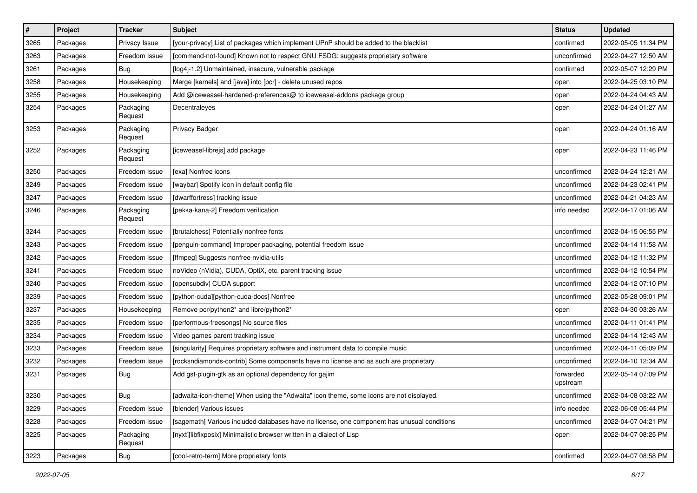| #    | Project  | <b>Tracker</b>       | <b>Subject</b>                                                                              | <b>Status</b>         | <b>Updated</b>      |
|------|----------|----------------------|---------------------------------------------------------------------------------------------|-----------------------|---------------------|
| 3265 | Packages | Privacy Issue        | [your-privacy] List of packages which implement UPnP should be added to the blacklist       | confirmed             | 2022-05-05 11:34 PM |
| 3263 | Packages | Freedom Issue        | [command-not-found] Known not to respect GNU FSDG: suggests proprietary software            | unconfirmed           | 2022-04-27 12:50 AM |
| 3261 | Packages | Bug                  | [log4j-1.2] Unmaintained, insecure, vulnerable package                                      | confirmed             | 2022-05-07 12:29 PM |
| 3258 | Packages | Housekeeping         | Merge [kernels] and [java] into [pcr] - delete unused repos                                 | open                  | 2022-04-25 03:10 PM |
| 3255 | Packages | Housekeeping         | Add @iceweasel-hardened-preferences@ to iceweasel-addons package group                      | open                  | 2022-04-24 04:43 AM |
| 3254 | Packages | Packaging<br>Request | Decentraleyes                                                                               | open                  | 2022-04-24 01:27 AM |
| 3253 | Packages | Packaging<br>Request | Privacy Badger                                                                              | open                  | 2022-04-24 01:16 AM |
| 3252 | Packages | Packaging<br>Request | [iceweasel-librejs] add package                                                             | open                  | 2022-04-23 11:46 PM |
| 3250 | Packages | Freedom Issue        | [exa] Nonfree icons                                                                         | unconfirmed           | 2022-04-24 12:21 AM |
| 3249 | Packages | Freedom Issue        | [waybar] Spotify icon in default config file                                                | unconfirmed           | 2022-04-23 02:41 PM |
| 3247 | Packages | Freedom Issue        | [dwarffortress] tracking issue                                                              | unconfirmed           | 2022-04-21 04:23 AM |
| 3246 | Packages | Packaging<br>Request | [pekka-kana-2] Freedom verification                                                         | info needed           | 2022-04-17 01:06 AM |
| 3244 | Packages | Freedom Issue        | [brutalchess] Potentially nonfree fonts                                                     | unconfirmed           | 2022-04-15 06:55 PM |
| 3243 | Packages | Freedom Issue        | [penguin-command] Improper packaging, potential freedom issue                               | unconfirmed           | 2022-04-14 11:58 AM |
| 3242 | Packages | Freedom Issue        | [ffmpeg] Suggests nonfree nvidia-utils                                                      | unconfirmed           | 2022-04-12 11:32 PM |
| 3241 | Packages | Freedom Issue        | noVideo (nVidia), CUDA, OptiX, etc. parent tracking issue                                   | unconfirmed           | 2022-04-12 10:54 PM |
| 3240 | Packages | Freedom Issue        | [opensubdiv] CUDA support                                                                   | unconfirmed           | 2022-04-12 07:10 PM |
| 3239 | Packages | Freedom Issue        | [python-cuda][python-cuda-docs] Nonfree                                                     | unconfirmed           | 2022-05-28 09:01 PM |
| 3237 | Packages | Housekeeping         | Remove pcr/python2* and libre/python2*                                                      | open                  | 2022-04-30 03:26 AM |
| 3235 | Packages | Freedom Issue        | [performous-freesongs] No source files                                                      | unconfirmed           | 2022-04-11 01:41 PM |
| 3234 | Packages | Freedom Issue        | Video games parent tracking issue                                                           | unconfirmed           | 2022-04-14 12:43 AM |
| 3233 | Packages | Freedom Issue        | [singularity] Requires proprietary software and instrument data to compile music            | unconfirmed           | 2022-04-11 05:09 PM |
| 3232 | Packages | Freedom Issue        | [rocksndiamonds-contrib] Some components have no license and as such are proprietary        | unconfirmed           | 2022-04-10 12:34 AM |
| 3231 | Packages | Bug                  | Add gst-plugin-gtk as an optional dependency for gajim                                      | forwarded<br>upstream | 2022-05-14 07:09 PM |
| 3230 | Packages | Bug                  | [adwaita-icon-theme] When using the "Adwaita" icon theme, some icons are not displayed.     | unconfirmed           | 2022-04-08 03:22 AM |
| 3229 | Packages | Freedom Issue        | [blender] Various issues                                                                    | info needed           | 2022-06-08 05:44 PM |
| 3228 | Packages | Freedom Issue        | [sagemath] Various included databases have no license, one component has unusual conditions | unconfirmed           | 2022-04-07 04:21 PM |
| 3225 | Packages | Packaging<br>Request | [nyxt][libfixposix] Minimalistic browser written in a dialect of Lisp                       | open                  | 2022-04-07 08:25 PM |
| 3223 | Packages | Bug                  | [cool-retro-term] More proprietary fonts                                                    | confirmed             | 2022-04-07 08:58 PM |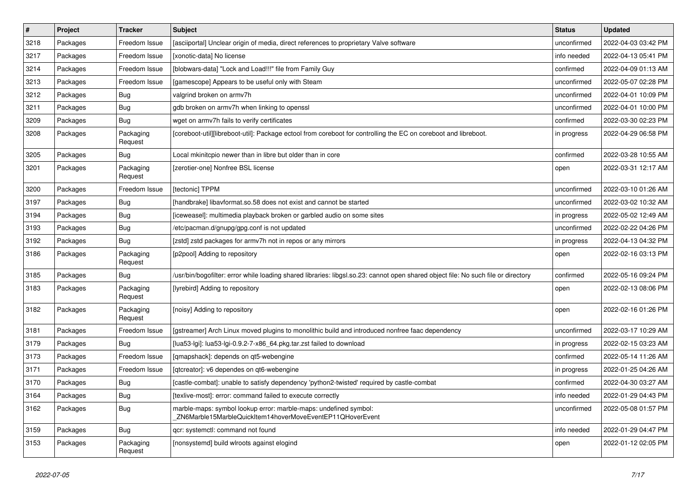| #    | Project  | <b>Tracker</b>       | <b>Subject</b>                                                                                                                     | <b>Status</b> | <b>Updated</b>      |
|------|----------|----------------------|------------------------------------------------------------------------------------------------------------------------------------|---------------|---------------------|
| 3218 | Packages | Freedom Issue        | [asciiportal] Unclear origin of media, direct references to proprietary Valve software                                             | unconfirmed   | 2022-04-03 03:42 PM |
| 3217 | Packages | Freedom Issue        | [xonotic-data] No license                                                                                                          | info needed   | 2022-04-13 05:41 PM |
| 3214 | Packages | Freedom Issue        | [blobwars-data] "Lock and Load!!!" file from Family Guy                                                                            | confirmed     | 2022-04-09 01:13 AM |
| 3213 | Packages | Freedom Issue        | [gamescope] Appears to be useful only with Steam                                                                                   | unconfirmed   | 2022-05-07 02:28 PM |
| 3212 | Packages | <b>Bug</b>           | valgrind broken on armv7h                                                                                                          | unconfirmed   | 2022-04-01 10:09 PM |
| 3211 | Packages | Bug                  | gdb broken on armv7h when linking to openssl                                                                                       | unconfirmed   | 2022-04-01 10:00 PM |
| 3209 | Packages | Bug                  | wget on armv7h fails to verify certificates                                                                                        | confirmed     | 2022-03-30 02:23 PM |
| 3208 | Packages | Packaging<br>Request | [coreboot-util][libreboot-util]: Package ectool from coreboot for controlling the EC on coreboot and libreboot.                    | in progress   | 2022-04-29 06:58 PM |
| 3205 | Packages | Bug                  | Local mkinitcpio newer than in libre but older than in core                                                                        | confirmed     | 2022-03-28 10:55 AM |
| 3201 | Packages | Packaging<br>Request | [zerotier-one] Nonfree BSL license                                                                                                 | open          | 2022-03-31 12:17 AM |
| 3200 | Packages | Freedom Issue        | [tectonic] TPPM                                                                                                                    | unconfirmed   | 2022-03-10 01:26 AM |
| 3197 | Packages | Bug                  | [handbrake] libavformat.so.58 does not exist and cannot be started                                                                 | unconfirmed   | 2022-03-02 10:32 AM |
| 3194 | Packages | Bug                  | [iceweasel]: multimedia playback broken or garbled audio on some sites                                                             | in progress   | 2022-05-02 12:49 AM |
| 3193 | Packages | Bug                  | /etc/pacman.d/gnupg/gpg.conf is not updated                                                                                        | unconfirmed   | 2022-02-22 04:26 PM |
| 3192 | Packages | Bug                  | [zstd] zstd packages for armv7h not in repos or any mirrors                                                                        | in progress   | 2022-04-13 04:32 PM |
| 3186 | Packages | Packaging<br>Request | [p2pool] Adding to repository                                                                                                      | open          | 2022-02-16 03:13 PM |
| 3185 | Packages | Bug                  | /usr/bin/bogofilter: error while loading shared libraries: libgsl.so.23: cannot open shared object file: No such file or directory | confirmed     | 2022-05-16 09:24 PM |
| 3183 | Packages | Packaging<br>Request | [lyrebird] Adding to repository                                                                                                    | open          | 2022-02-13 08:06 PM |
| 3182 | Packages | Packaging<br>Request | [noisy] Adding to repository                                                                                                       | open          | 2022-02-16 01:26 PM |
| 3181 | Packages | Freedom Issue        | [gstreamer] Arch Linux moved plugins to monolithic build and introduced nonfree faac dependency                                    | unconfirmed   | 2022-03-17 10:29 AM |
| 3179 | Packages | Bug                  | [lua53-lgi]: lua53-lgi-0.9.2-7-x86_64.pkg.tar.zst failed to download                                                               | in progress   | 2022-02-15 03:23 AM |
| 3173 | Packages | Freedom Issue        | [qmapshack]: depends on qt5-webengine                                                                                              | confirmed     | 2022-05-14 11:26 AM |
| 3171 | Packages | Freedom Issue        | [qtcreator]: v6 dependes on qt6-webengine                                                                                          | in progress   | 2022-01-25 04:26 AM |
| 3170 | Packages | <b>Bug</b>           | [castle-combat]: unable to satisfy dependency 'python2-twisted' required by castle-combat                                          | confirmed     | 2022-04-30 03:27 AM |
| 3164 | Packages | Bug                  | [texlive-most]: error: command failed to execute correctly                                                                         | info needed   | 2022-01-29 04:43 PM |
| 3162 | Packages | <b>Bug</b>           | marble-maps: symbol lookup error: marble-maps: undefined symbol:<br>ZN6Marble15MarbleQuickItem14hoverMoveEventEP11QHoverEvent      | unconfirmed   | 2022-05-08 01:57 PM |
| 3159 | Packages | Bug                  | gcr: systemctl: command not found                                                                                                  | info needed   | 2022-01-29 04:47 PM |
| 3153 | Packages | Packaging<br>Request | [nonsystemd] build wlroots against elogind                                                                                         | open          | 2022-01-12 02:05 PM |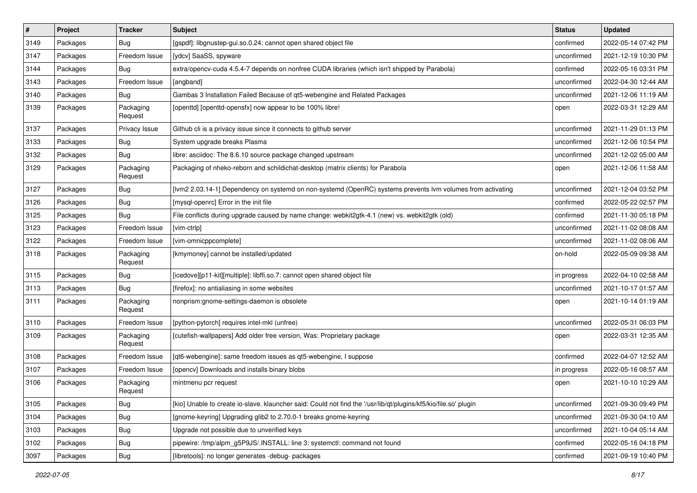| #    | Project  | <b>Tracker</b>       | Subject                                                                                                          | <b>Status</b> | <b>Updated</b>      |
|------|----------|----------------------|------------------------------------------------------------------------------------------------------------------|---------------|---------------------|
| 3149 | Packages | Bug                  | [gspdf]: libgnustep-gui.so.0.24: cannot open shared object file                                                  | confirmed     | 2022-05-14 07:42 PM |
| 3147 | Packages | Freedom Issue        | [ydcv] SaaSS, spyware                                                                                            | unconfirmed   | 2021-12-19 10:30 PM |
| 3144 | Packages | Bug                  | extra/opencv-cuda 4.5.4-7 depends on nonfree CUDA libraries (which isn't shipped by Parabola)                    | confirmed     | 2022-05-16 03:31 PM |
| 3143 | Packages | Freedom Issue        | [angband]                                                                                                        | unconfirmed   | 2022-04-30 12:44 AM |
| 3140 | Packages | Bug                  | Gambas 3 Installation Failed Because of qt5-webengine and Related Packages                                       | unconfirmed   | 2021-12-06 11:19 AM |
| 3139 | Packages | Packaging<br>Request | [openttd] [openttd-opensfx] now appear to be 100% libre!                                                         | open          | 2022-03-31 12:29 AM |
| 3137 | Packages | Privacy Issue        | Github cli is a privacy issue since it connects to github server                                                 | unconfirmed   | 2021-11-29 01:13 PM |
| 3133 | Packages | Bug                  | System upgrade breaks Plasma                                                                                     | unconfirmed   | 2021-12-06 10:54 PM |
| 3132 | Packages | Bug                  | libre: asciidoc: The 8.6.10 source package changed upstream                                                      | unconfirmed   | 2021-12-02 05:00 AM |
| 3129 | Packages | Packaging<br>Request | Packaging of nheko-reborn and schildichat-desktop (matrix clients) for Parabola                                  | open          | 2021-12-06 11:58 AM |
| 3127 | Packages | <b>Bug</b>           | [lvm2 2.03.14-1] Dependency on systemd on non-systemd (OpenRC) systems prevents lvm volumes from activating      | unconfirmed   | 2021-12-04 03:52 PM |
| 3126 | Packages | Bug                  | [mysql-openrc] Error in the init file                                                                            | confirmed     | 2022-05-22 02:57 PM |
| 3125 | Packages | Bug                  | File conflicts during upgrade caused by name change: webkit2gtk-4.1 (new) vs. webkit2gtk (old)                   | confirmed     | 2021-11-30 05:18 PM |
| 3123 | Packages | Freedom Issue        | [vim-ctrlp]                                                                                                      | unconfirmed   | 2021-11-02 08:08 AM |
| 3122 | Packages | Freedom Issue        | [vim-omnicppcomplete]                                                                                            | unconfirmed   | 2021-11-02 08:06 AM |
| 3118 | Packages | Packaging<br>Request | [kmymoney] cannot be installed/updated                                                                           | on-hold       | 2022-05-09 09:38 AM |
| 3115 | Packages | <b>Bug</b>           | [icedove][p11-kit][multiple]: libffi.so.7: cannot open shared object file                                        | in progress   | 2022-04-10 02:58 AM |
| 3113 | Packages | Bug                  | [firefox]: no antialiasing in some websites                                                                      | unconfirmed   | 2021-10-17 01:57 AM |
| 3111 | Packages | Packaging<br>Request | nonprism:gnome-settings-daemon is obsolete                                                                       | open          | 2021-10-14 01:19 AM |
| 3110 | Packages | Freedom Issue        | [python-pytorch] requires intel-mkl (unfree)                                                                     | unconfirmed   | 2022-05-31 06:03 PM |
| 3109 | Packages | Packaging<br>Request | [cutefish-wallpapers] Add older free version, Was: Proprietary package                                           | open          | 2022-03-31 12:35 AM |
| 3108 | Packages | Freedom Issue        | [qt6-webengine]: same freedom issues as qt5-webengine, I suppose                                                 | confirmed     | 2022-04-07 12:52 AM |
| 3107 | Packages | Freedom Issue        | [opency] Downloads and installs binary blobs                                                                     | in progress   | 2022-05-16 08:57 AM |
| 3106 | Packages | Packaging<br>Request | mintmenu pcr request                                                                                             | open          | 2021-10-10 10:29 AM |
| 3105 | Packages | Bug                  | [kio] Unable to create io-slave. klauncher said: Could not find the '/usr/lib/qt/plugins/kf5/kio/file.so' plugin | unconfirmed   | 2021-09-30 09:49 PM |
| 3104 | Packages | <b>Bug</b>           | [gnome-keyring] Upgrading glib2 to 2.70.0-1 breaks gnome-keyring                                                 | unconfirmed   | 2021-09-30 04:10 AM |
| 3103 | Packages | <b>Bug</b>           | Upgrade not possible due to unverified keys                                                                      | unconfirmed   | 2021-10-04 05:14 AM |
| 3102 | Packages | <b>Bug</b>           | pipewire: /tmp/alpm_g5P9JS/.INSTALL: line 3: systemctl: command not found                                        | confirmed     | 2022-05-16 04:18 PM |
| 3097 | Packages | Bug                  | [libretools]: no longer generates -debug- packages                                                               | confirmed     | 2021-09-19 10:40 PM |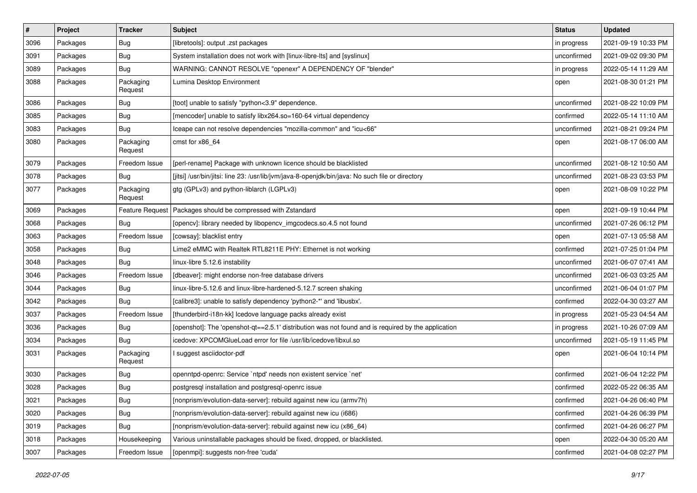| #    | Project  | <b>Tracker</b>         | Subject                                                                                            | <b>Status</b> | <b>Updated</b>      |
|------|----------|------------------------|----------------------------------------------------------------------------------------------------|---------------|---------------------|
| 3096 | Packages | Bug                    | [libretools]: output .zst packages                                                                 | in progress   | 2021-09-19 10:33 PM |
| 3091 | Packages | Bug                    | System installation does not work with [linux-libre-lts] and [syslinux]                            | unconfirmed   | 2021-09-02 09:30 PM |
| 3089 | Packages | Bug                    | WARNING: CANNOT RESOLVE "openexr" A DEPENDENCY OF "blender"                                        | in progress   | 2022-05-14 11:29 AM |
| 3088 | Packages | Packaging<br>Request   | Lumina Desktop Environment                                                                         | open          | 2021-08-30 01:21 PM |
| 3086 | Packages | Bug                    | [toot] unable to satisfy "python<3.9" dependence.                                                  | unconfirmed   | 2021-08-22 10:09 PM |
| 3085 | Packages | Bug                    | [mencoder] unable to satisfy libx264.so=160-64 virtual dependency                                  | confirmed     | 2022-05-14 11:10 AM |
| 3083 | Packages | Bug                    | lceape can not resolve dependencies "mozilla-common" and "icu<66"                                  | unconfirmed   | 2021-08-21 09:24 PM |
| 3080 | Packages | Packaging<br>Request   | cmst for x86_64                                                                                    | open          | 2021-08-17 06:00 AM |
| 3079 | Packages | Freedom Issue          | [perl-rename] Package with unknown licence should be blacklisted                                   | unconfirmed   | 2021-08-12 10:50 AM |
| 3078 | Packages | Bug                    | [jitsi] /usr/bin/jitsi: line 23: /usr/lib/jvm/java-8-openjdk/bin/java: No such file or directory   | unconfirmed   | 2021-08-23 03:53 PM |
| 3077 | Packages | Packaging<br>Request   | gtg (GPLv3) and python-liblarch (LGPLv3)                                                           | open          | 2021-08-09 10:22 PM |
| 3069 | Packages | <b>Feature Request</b> | Packages should be compressed with Zstandard                                                       | open          | 2021-09-19 10:44 PM |
| 3068 | Packages | Bug                    | [opencv]: library needed by libopencv_imgcodecs.so.4.5 not found                                   | unconfirmed   | 2021-07-26 06:12 PM |
| 3063 | Packages | Freedom Issue          | [cowsay]: blacklist entry                                                                          | open          | 2021-07-13 05:58 AM |
| 3058 | Packages | <b>Bug</b>             | Lime2 eMMC with Realtek RTL8211E PHY: Ethernet is not working                                      | confirmed     | 2021-07-25 01:04 PM |
| 3048 | Packages | Bug                    | linux-libre 5.12.6 instability                                                                     | unconfirmed   | 2021-06-07 07:41 AM |
| 3046 | Packages | Freedom Issue          | [dbeaver]: might endorse non-free database drivers                                                 | unconfirmed   | 2021-06-03 03:25 AM |
| 3044 | Packages | Bug                    | linux-libre-5.12.6 and linux-libre-hardened-5.12.7 screen shaking                                  | unconfirmed   | 2021-06-04 01:07 PM |
| 3042 | Packages | Bug                    | [calibre3]: unable to satisfy dependency 'python2-*' and 'libusbx'.                                | confirmed     | 2022-04-30 03:27 AM |
| 3037 | Packages | Freedom Issue          | [thunderbird-i18n-kk] Icedove language packs already exist                                         | in progress   | 2021-05-23 04:54 AM |
| 3036 | Packages | Bug                    | [openshot]: The 'openshot-qt==2.5.1' distribution was not found and is required by the application | in progress   | 2021-10-26 07:09 AM |
| 3034 | Packages | Bug                    | icedove: XPCOMGlueLoad error for file /usr/lib/icedove/libxul.so                                   | unconfirmed   | 2021-05-19 11:45 PM |
| 3031 | Packages | Packaging<br>Request   | I suggest asciidoctor-pdf                                                                          | open          | 2021-06-04 10:14 PM |
| 3030 | Packages | <b>Bug</b>             | openntpd-openrc: Service `ntpd' needs non existent service `net'                                   | confirmed     | 2021-06-04 12:22 PM |
| 3028 | Packages | Bug                    | postgresql installation and postgresql-openrc issue                                                | confirmed     | 2022-05-22 06:35 AM |
| 3021 | Packages | <b>Bug</b>             | [nonprism/evolution-data-server]: rebuild against new icu (armv7h)                                 | confirmed     | 2021-04-26 06:40 PM |
| 3020 | Packages | <b>Bug</b>             | [nonprism/evolution-data-server]: rebuild against new icu (i686)                                   | confirmed     | 2021-04-26 06:39 PM |
| 3019 | Packages | Bug                    | [nonprism/evolution-data-server]: rebuild against new icu (x86_64)                                 | confirmed     | 2021-04-26 06:27 PM |
| 3018 | Packages | Housekeeping           | Various uninstallable packages should be fixed, dropped, or blacklisted.                           | open          | 2022-04-30 05:20 AM |
| 3007 | Packages | Freedom Issue          | [openmpi]: suggests non-free 'cuda'                                                                | confirmed     | 2021-04-08 02:27 PM |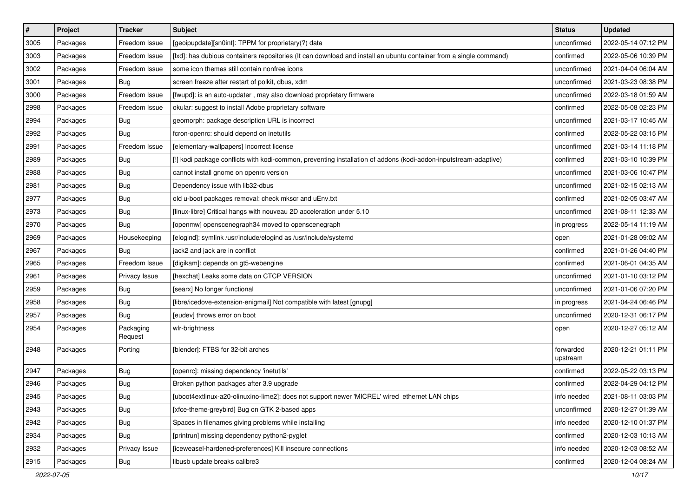| $\#$ | Project  | <b>Tracker</b>       | <b>Subject</b>                                                                                                     | <b>Status</b>         | <b>Updated</b>      |
|------|----------|----------------------|--------------------------------------------------------------------------------------------------------------------|-----------------------|---------------------|
| 3005 | Packages | Freedom Issue        | [geoipupdate][sn0int]: TPPM for proprietary(?) data                                                                | unconfirmed           | 2022-05-14 07:12 PM |
| 3003 | Packages | Freedom Issue        | [lxd]: has dubious containers repositories (It can download and install an ubuntu container from a single command) | confirmed             | 2022-05-06 10:39 PM |
| 3002 | Packages | Freedom Issue        | some icon themes still contain nonfree icons                                                                       | unconfirmed           | 2021-04-04 06:04 AM |
| 3001 | Packages | <b>Bug</b>           | screen freeze after restart of polkit, dbus, xdm                                                                   | unconfirmed           | 2021-03-23 08:38 PM |
| 3000 | Packages | Freedom Issue        | [fwupd]: is an auto-updater, may also download proprietary firmware                                                | unconfirmed           | 2022-03-18 01:59 AM |
| 2998 | Packages | Freedom Issue        | okular: suggest to install Adobe proprietary software                                                              | confirmed             | 2022-05-08 02:23 PM |
| 2994 | Packages | Bug                  | geomorph: package description URL is incorrect                                                                     | unconfirmed           | 2021-03-17 10:45 AM |
| 2992 | Packages | <b>Bug</b>           | fcron-openrc: should depend on inetutils                                                                           | confirmed             | 2022-05-22 03:15 PM |
| 2991 | Packages | Freedom Issue        | [elementary-wallpapers] Incorrect license                                                                          | unconfirmed           | 2021-03-14 11:18 PM |
| 2989 | Packages | Bug                  | [!] kodi package conflicts with kodi-common, preventing installation of addons (kodi-addon-inputstream-adaptive)   | confirmed             | 2021-03-10 10:39 PM |
| 2988 | Packages | Bug                  | cannot install gnome on openrc version                                                                             | unconfirmed           | 2021-03-06 10:47 PM |
| 2981 | Packages | <b>Bug</b>           | Dependency issue with lib32-dbus                                                                                   | unconfirmed           | 2021-02-15 02:13 AM |
| 2977 | Packages | <b>Bug</b>           | old u-boot packages removal: check mkscr and uEnv.txt                                                              | confirmed             | 2021-02-05 03:47 AM |
| 2973 | Packages | Bug                  | [linux-libre] Critical hangs with nouveau 2D acceleration under 5.10                                               | unconfirmed           | 2021-08-11 12:33 AM |
| 2970 | Packages | Bug                  | [openmw] openscenegraph34 moved to openscenegraph                                                                  | in progress           | 2022-05-14 11:19 AM |
| 2969 | Packages | Housekeeping         | [elogind]: symlink /usr/include/elogind as /usr/include/systemd                                                    | open                  | 2021-01-28 09:02 AM |
| 2967 | Packages | <b>Bug</b>           | jack2 and jack are in conflict                                                                                     | confirmed             | 2021-01-26 04:40 PM |
| 2965 | Packages | Freedom Issue        | [digikam]: depends on gt5-webengine                                                                                | confirmed             | 2021-06-01 04:35 AM |
| 2961 | Packages | Privacy Issue        | [hexchat] Leaks some data on CTCP VERSION                                                                          | unconfirmed           | 2021-01-10 03:12 PM |
| 2959 | Packages | <b>Bug</b>           | [searx] No longer functional                                                                                       | unconfirmed           | 2021-01-06 07:20 PM |
| 2958 | Packages | Bug                  | [libre/icedove-extension-enigmail] Not compatible with latest [gnupg]                                              | in progress           | 2021-04-24 06:46 PM |
| 2957 | Packages | Bug                  | [eudev] throws error on boot                                                                                       | unconfirmed           | 2020-12-31 06:17 PM |
| 2954 | Packages | Packaging<br>Request | wlr-brightness                                                                                                     | open                  | 2020-12-27 05:12 AM |
| 2948 | Packages | Porting              | [blender]: FTBS for 32-bit arches                                                                                  | forwarded<br>upstream | 2020-12-21 01:11 PM |
| 2947 | Packages | <b>Bug</b>           | [openrc]: missing dependency 'inetutils'                                                                           | confirmed             | 2022-05-22 03:13 PM |
| 2946 | Packages | <b>Bug</b>           | Broken python packages after 3.9 upgrade                                                                           | confirmed             | 2022-04-29 04:12 PM |
| 2945 | Packages | Bug                  | [uboot4extlinux-a20-olinuxino-lime2]: does not support newer 'MICREL' wired ethernet LAN chips                     | info needed           | 2021-08-11 03:03 PM |
| 2943 | Packages | <b>Bug</b>           | [xfce-theme-greybird] Bug on GTK 2-based apps                                                                      | unconfirmed           | 2020-12-27 01:39 AM |
| 2942 | Packages | <b>Bug</b>           | Spaces in filenames giving problems while installing                                                               | info needed           | 2020-12-10 01:37 PM |
| 2934 | Packages | <b>Bug</b>           | [printrun] missing dependency python2-pyglet                                                                       | confirmed             | 2020-12-03 10:13 AM |
| 2932 | Packages | Privacy Issue        | [iceweasel-hardened-preferences] Kill insecure connections                                                         | info needed           | 2020-12-03 08:52 AM |
| 2915 | Packages | <b>Bug</b>           | libusb update breaks calibre3                                                                                      | confirmed             | 2020-12-04 08:24 AM |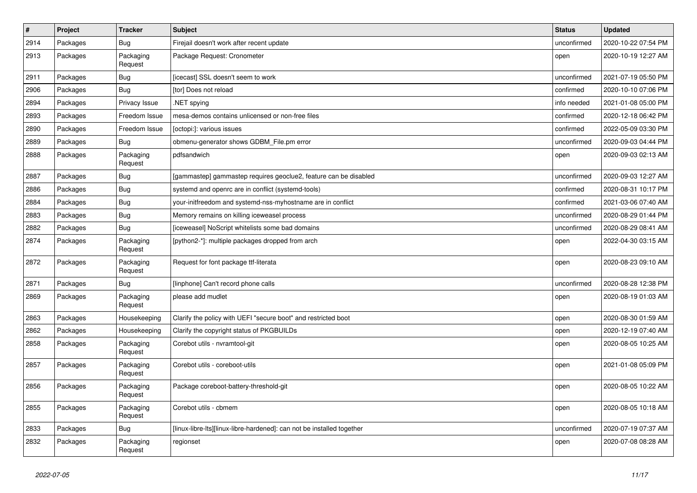| $\#$ | Project  | <b>Tracker</b>       | <b>Subject</b>                                                         | <b>Status</b> | <b>Updated</b>      |
|------|----------|----------------------|------------------------------------------------------------------------|---------------|---------------------|
| 2914 | Packages | Bug                  | Firejail doesn't work after recent update                              | unconfirmed   | 2020-10-22 07:54 PM |
| 2913 | Packages | Packaging<br>Request | Package Request: Cronometer                                            | open          | 2020-10-19 12:27 AM |
| 2911 | Packages | <b>Bug</b>           | [icecast] SSL doesn't seem to work                                     | unconfirmed   | 2021-07-19 05:50 PM |
| 2906 | Packages | <b>Bug</b>           | [tor] Does not reload                                                  | confirmed     | 2020-10-10 07:06 PM |
| 2894 | Packages | Privacy Issue        | .NET spying                                                            | info needed   | 2021-01-08 05:00 PM |
| 2893 | Packages | Freedom Issue        | mesa-demos contains unlicensed or non-free files                       | confirmed     | 2020-12-18 06:42 PM |
| 2890 | Packages | Freedom Issue        | [octopi:]: various issues                                              | confirmed     | 2022-05-09 03:30 PM |
| 2889 | Packages | <b>Bug</b>           | obmenu-generator shows GDBM_File.pm error                              | unconfirmed   | 2020-09-03 04:44 PM |
| 2888 | Packages | Packaging<br>Request | pdfsandwich                                                            | open          | 2020-09-03 02:13 AM |
| 2887 | Packages | <b>Bug</b>           | [gammastep] gammastep requires geoclue2, feature can be disabled       | unconfirmed   | 2020-09-03 12:27 AM |
| 2886 | Packages | <b>Bug</b>           | systemd and openrc are in conflict (systemd-tools)                     | confirmed     | 2020-08-31 10:17 PM |
| 2884 | Packages | Bug                  | your-initfreedom and systemd-nss-myhostname are in conflict            | confirmed     | 2021-03-06 07:40 AM |
| 2883 | Packages | <b>Bug</b>           | Memory remains on killing iceweasel process                            | unconfirmed   | 2020-08-29 01:44 PM |
| 2882 | Packages | Bug                  | [iceweasel] NoScript whitelists some bad domains                       | unconfirmed   | 2020-08-29 08:41 AM |
| 2874 | Packages | Packaging<br>Request | [python2-*]: multiple packages dropped from arch                       | open          | 2022-04-30 03:15 AM |
| 2872 | Packages | Packaging<br>Request | Request for font package ttf-literata                                  | open          | 2020-08-23 09:10 AM |
| 2871 | Packages | Bug                  | [linphone] Can't record phone calls                                    | unconfirmed   | 2020-08-28 12:38 PM |
| 2869 | Packages | Packaging<br>Request | please add mudlet                                                      | open          | 2020-08-19 01:03 AM |
| 2863 | Packages | Housekeeping         | Clarify the policy with UEFI "secure boot" and restricted boot         | open          | 2020-08-30 01:59 AM |
| 2862 | Packages | Housekeeping         | Clarify the copyright status of PKGBUILDs                              | open          | 2020-12-19 07:40 AM |
| 2858 | Packages | Packaging<br>Request | Corebot utils - nvramtool-git                                          | open          | 2020-08-05 10:25 AM |
| 2857 | Packages | Packaging<br>Request | Corebot utils - coreboot-utils                                         | open          | 2021-01-08 05:09 PM |
| 2856 | Packages | Packaging<br>Request | Package coreboot-battery-threshold-git                                 | open          | 2020-08-05 10:22 AM |
| 2855 | Packages | Packaging<br>Request | Corebot utils - cbmem                                                  | open          | 2020-08-05 10:18 AM |
| 2833 | Packages | <b>Bug</b>           | [linux-libre-lts][linux-libre-hardened]: can not be installed together | unconfirmed   | 2020-07-19 07:37 AM |
| 2832 | Packages | Packaging<br>Request | regionset                                                              | open          | 2020-07-08 08:28 AM |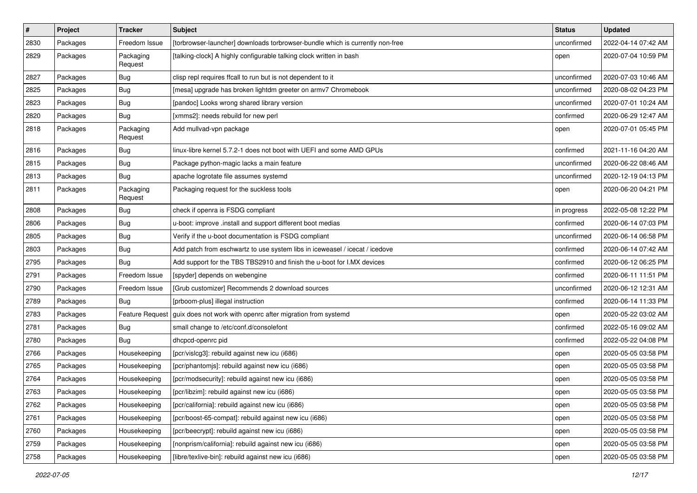| $\sharp$ | Project  | <b>Tracker</b>       | Subject                                                                       | <b>Status</b> | <b>Updated</b>      |
|----------|----------|----------------------|-------------------------------------------------------------------------------|---------------|---------------------|
| 2830     | Packages | Freedom Issue        | [torbrowser-launcher] downloads torbrowser-bundle which is currently non-free | unconfirmed   | 2022-04-14 07:42 AM |
| 2829     | Packages | Packaging<br>Request | [talking-clock] A highly configurable talking clock written in bash           | open          | 2020-07-04 10:59 PM |
| 2827     | Packages | Bug                  | clisp repl requires ffcall to run but is not dependent to it                  | unconfirmed   | 2020-07-03 10:46 AM |
| 2825     | Packages | <b>Bug</b>           | [mesa] upgrade has broken lightdm greeter on armv7 Chromebook                 | unconfirmed   | 2020-08-02 04:23 PM |
| 2823     | Packages | Bug                  | [pandoc] Looks wrong shared library version                                   | unconfirmed   | 2020-07-01 10:24 AM |
| 2820     | Packages | Bug                  | [xmms2]: needs rebuild for new perl                                           | confirmed     | 2020-06-29 12:47 AM |
| 2818     | Packages | Packaging<br>Request | Add mullvad-vpn package                                                       | open          | 2020-07-01 05:45 PM |
| 2816     | Packages | Bug                  | linux-libre kernel 5.7.2-1 does not boot with UEFI and some AMD GPUs          | confirmed     | 2021-11-16 04:20 AM |
| 2815     | Packages | Bug                  | Package python-magic lacks a main feature                                     | unconfirmed   | 2020-06-22 08:46 AM |
| 2813     | Packages | Bug                  | apache logrotate file assumes systemd                                         | unconfirmed   | 2020-12-19 04:13 PM |
| 2811     | Packages | Packaging<br>Request | Packaging request for the suckless tools                                      | open          | 2020-06-20 04:21 PM |
| 2808     | Packages | <b>Bug</b>           | check if openra is FSDG compliant                                             | in progress   | 2022-05-08 12:22 PM |
| 2806     | Packages | Bug                  | u-boot: improve .install and support different boot medias                    | confirmed     | 2020-06-14 07:03 PM |
| 2805     | Packages | Bug                  | Verify if the u-boot documentation is FSDG compliant                          | unconfirmed   | 2020-06-14 06:58 PM |
| 2803     | Packages | Bug                  | Add patch from eschwartz to use system libs in iceweasel / icecat / icedove   | confirmed     | 2020-06-14 07:42 AM |
| 2795     | Packages | Bug                  | Add support for the TBS TBS2910 and finish the u-boot for I.MX devices        | confirmed     | 2020-06-12 06:25 PM |
| 2791     | Packages | Freedom Issue        | [spyder] depends on webengine                                                 | confirmed     | 2020-06-11 11:51 PM |
| 2790     | Packages | Freedom Issue        | [Grub customizer] Recommends 2 download sources                               | unconfirmed   | 2020-06-12 12:31 AM |
| 2789     | Packages | Bug                  | [prboom-plus] illegal instruction                                             | confirmed     | 2020-06-14 11:33 PM |
| 2783     | Packages |                      | Feature Request   guix does not work with openrc after migration from systemd | open          | 2020-05-22 03:02 AM |
| 2781     | Packages | <b>Bug</b>           | small change to /etc/conf.d/consolefont                                       | confirmed     | 2022-05-16 09:02 AM |
| 2780     | Packages | Bug                  | dhcpcd-openrc pid                                                             | confirmed     | 2022-05-22 04:08 PM |
| 2766     | Packages | Housekeeping         | [pcr/vislcg3]: rebuild against new icu (i686)                                 | open          | 2020-05-05 03:58 PM |
| 2765     | Packages | Housekeeping         | [pcr/phantomjs]: rebuild against new icu (i686)                               | open          | 2020-05-05 03:58 PM |
| 2764     | Packages | Housekeeping         | [pcr/modsecurity]: rebuild against new icu (i686)                             | open          | 2020-05-05 03:58 PM |
| 2763     | Packages | Housekeeping         | [pcr/libzim]: rebuild against new icu (i686)                                  | open          | 2020-05-05 03:58 PM |
| 2762     | Packages | Housekeeping         | [pcr/california]: rebuild against new icu (i686)                              | open          | 2020-05-05 03:58 PM |
| 2761     | Packages | Housekeeping         | [pcr/boost-65-compat]: rebuild against new icu (i686)                         | open          | 2020-05-05 03:58 PM |
| 2760     | Packages | Housekeeping         | [pcr/beecrypt]: rebuild against new icu (i686)                                | open          | 2020-05-05 03:58 PM |
| 2759     | Packages | Housekeeping         | [nonprism/california]: rebuild against new icu (i686)                         | open          | 2020-05-05 03:58 PM |
| 2758     | Packages | Housekeeping         | [libre/texlive-bin]: rebuild against new icu (i686)                           | open          | 2020-05-05 03:58 PM |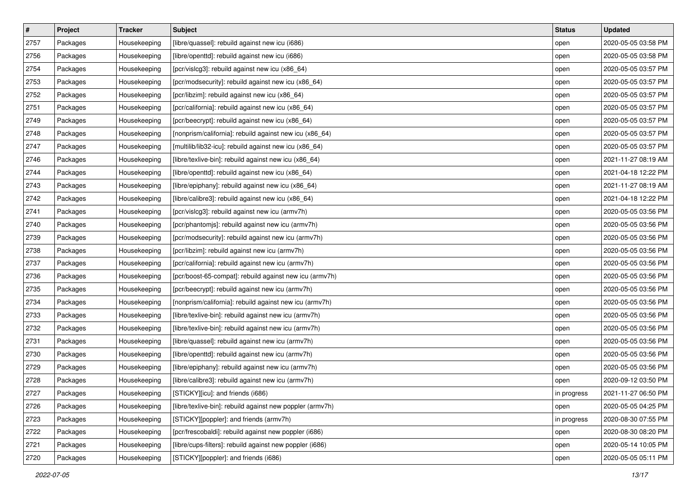| $\pmb{\#}$ | Project  | <b>Tracker</b> | <b>Subject</b>                                            | <b>Status</b> | <b>Updated</b>      |
|------------|----------|----------------|-----------------------------------------------------------|---------------|---------------------|
| 2757       | Packages | Housekeeping   | [libre/quassel]: rebuild against new icu (i686)           | open          | 2020-05-05 03:58 PM |
| 2756       | Packages | Housekeeping   | [libre/openttd]: rebuild against new icu (i686)           | open          | 2020-05-05 03:58 PM |
| 2754       | Packages | Housekeeping   | [pcr/vislcg3]: rebuild against new icu (x86_64)           | open          | 2020-05-05 03:57 PM |
| 2753       | Packages | Housekeeping   | [pcr/modsecurity]: rebuild against new icu (x86_64)       | open          | 2020-05-05 03:57 PM |
| 2752       | Packages | Housekeeping   | [pcr/libzim]: rebuild against new icu (x86_64)            | open          | 2020-05-05 03:57 PM |
| 2751       | Packages | Housekeeping   | [pcr/california]: rebuild against new icu (x86_64)        | open          | 2020-05-05 03:57 PM |
| 2749       | Packages | Housekeeping   | [pcr/beecrypt]: rebuild against new icu (x86_64)          | open          | 2020-05-05 03:57 PM |
| 2748       | Packages | Housekeeping   | [nonprism/california]: rebuild against new icu (x86_64)   | open          | 2020-05-05 03:57 PM |
| 2747       | Packages | Housekeeping   | [multilib/lib32-icu]: rebuild against new icu (x86_64)    | open          | 2020-05-05 03:57 PM |
| 2746       | Packages | Housekeeping   | [libre/texlive-bin]: rebuild against new icu (x86_64)     | open          | 2021-11-27 08:19 AM |
| 2744       | Packages | Housekeeping   | [libre/openttd]: rebuild against new icu (x86_64)         | open          | 2021-04-18 12:22 PM |
| 2743       | Packages | Housekeeping   | [libre/epiphany]: rebuild against new icu (x86_64)        | open          | 2021-11-27 08:19 AM |
| 2742       | Packages | Housekeeping   | [libre/calibre3]: rebuild against new icu (x86_64)        | open          | 2021-04-18 12:22 PM |
| 2741       | Packages | Housekeeping   | [pcr/vislcg3]: rebuild against new icu (armv7h)           | open          | 2020-05-05 03:56 PM |
| 2740       | Packages | Housekeeping   | [pcr/phantomjs]: rebuild against new icu (armv7h)         | open          | 2020-05-05 03:56 PM |
| 2739       | Packages | Housekeeping   | [pcr/modsecurity]: rebuild against new icu (armv7h)       | open          | 2020-05-05 03:56 PM |
| 2738       | Packages | Housekeeping   | [pcr/libzim]: rebuild against new icu (armv7h)            | open          | 2020-05-05 03:56 PM |
| 2737       | Packages | Housekeeping   | [pcr/california]: rebuild against new icu (armv7h)        | open          | 2020-05-05 03:56 PM |
| 2736       | Packages | Housekeeping   | [pcr/boost-65-compat]: rebuild against new icu (armv7h)   | open          | 2020-05-05 03:56 PM |
| 2735       | Packages | Housekeeping   | [pcr/beecrypt]: rebuild against new icu (armv7h)          | open          | 2020-05-05 03:56 PM |
| 2734       | Packages | Housekeeping   | [nonprism/california]: rebuild against new icu (armv7h)   | open          | 2020-05-05 03:56 PM |
| 2733       | Packages | Housekeeping   | [libre/texlive-bin]: rebuild against new icu (armv7h)     | open          | 2020-05-05 03:56 PM |
| 2732       | Packages | Housekeeping   | [libre/texlive-bin]: rebuild against new icu (armv7h)     | open          | 2020-05-05 03:56 PM |
| 2731       | Packages | Housekeeping   | [libre/quassel]: rebuild against new icu (armv7h)         | open          | 2020-05-05 03:56 PM |
| 2730       | Packages | Housekeeping   | [libre/openttd]: rebuild against new icu (armv7h)         | open          | 2020-05-05 03:56 PM |
| 2729       | Packages | Housekeeping   | [libre/epiphany]: rebuild against new icu (armv7h)        | open          | 2020-05-05 03:56 PM |
| 2728       | Packages | Housekeeping   | [libre/calibre3]: rebuild against new icu (armv7h)        | open          | 2020-09-12 03:50 PM |
| 2727       | Packages | Housekeeping   | [STICKY][icu]: and friends (i686)                         | in progress   | 2021-11-27 06:50 PM |
| 2726       | Packages | Housekeeping   | [libre/texlive-bin]: rebuild against new poppler (armv7h) | open          | 2020-05-05 04:25 PM |
| 2723       | Packages | Housekeeping   | [STICKY][poppler]: and friends (armv7h)                   | in progress   | 2020-08-30 07:55 PM |
| 2722       | Packages | Housekeeping   | [pcr/frescobaldi]: rebuild against new poppler (i686)     | open          | 2020-08-30 08:20 PM |
| 2721       | Packages | Housekeeping   | [libre/cups-filters]: rebuild against new poppler (i686)  | open          | 2020-05-14 10:05 PM |
| 2720       | Packages | Housekeeping   | [STICKY][poppler]: and friends (i686)                     | open          | 2020-05-05 05:11 PM |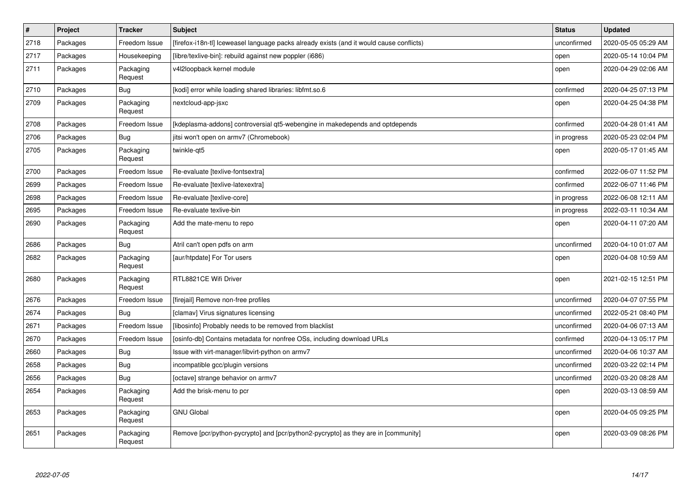| #    | Project  | <b>Tracker</b>       | <b>Subject</b>                                                                           | <b>Status</b> | <b>Updated</b>      |
|------|----------|----------------------|------------------------------------------------------------------------------------------|---------------|---------------------|
| 2718 | Packages | Freedom Issue        | [firefox-i18n-tl] lceweasel language packs already exists (and it would cause conflicts) | unconfirmed   | 2020-05-05 05:29 AM |
| 2717 | Packages | Housekeeping         | [libre/texlive-bin]: rebuild against new poppler (i686)                                  | open          | 2020-05-14 10:04 PM |
| 2711 | Packages | Packaging<br>Request | v4l2loopback kernel module                                                               | open          | 2020-04-29 02:06 AM |
| 2710 | Packages | Bug                  | [kodi] error while loading shared libraries: libfmt.so.6                                 | confirmed     | 2020-04-25 07:13 PM |
| 2709 | Packages | Packaging<br>Request | nextcloud-app-jsxc                                                                       | open          | 2020-04-25 04:38 PM |
| 2708 | Packages | Freedom Issue        | [kdeplasma-addons] controversial qt5-webengine in makedepends and optdepends             | confirmed     | 2020-04-28 01:41 AM |
| 2706 | Packages | Bug                  | jitsi won't open on armv7 (Chromebook)                                                   | in progress   | 2020-05-23 02:04 PM |
| 2705 | Packages | Packaging<br>Request | twinkle-qt5                                                                              | open          | 2020-05-17 01:45 AM |
| 2700 | Packages | Freedom Issue        | Re-evaluate [texlive-fontsextra]                                                         | confirmed     | 2022-06-07 11:52 PM |
| 2699 | Packages | Freedom Issue        | Re-evaluate [texlive-latexextra]                                                         | confirmed     | 2022-06-07 11:46 PM |
| 2698 | Packages | Freedom Issue        | Re-evaluate [texlive-core]                                                               | in progress   | 2022-06-08 12:11 AM |
| 2695 | Packages | Freedom Issue        | Re-evaluate texlive-bin                                                                  | in progress   | 2022-03-11 10:34 AM |
| 2690 | Packages | Packaging<br>Request | Add the mate-menu to repo                                                                | open          | 2020-04-11 07:20 AM |
| 2686 | Packages | <b>Bug</b>           | Atril can't open pdfs on arm                                                             | unconfirmed   | 2020-04-10 01:07 AM |
| 2682 | Packages | Packaging<br>Request | [aur/htpdate] For Tor users                                                              | open          | 2020-04-08 10:59 AM |
| 2680 | Packages | Packaging<br>Request | RTL8821CE Wifi Driver                                                                    | open          | 2021-02-15 12:51 PM |
| 2676 | Packages | Freedom Issue        | [firejail] Remove non-free profiles                                                      | unconfirmed   | 2020-04-07 07:55 PM |
| 2674 | Packages | Bug                  | [clamav] Virus signatures licensing                                                      | unconfirmed   | 2022-05-21 08:40 PM |
| 2671 | Packages | Freedom Issue        | [libosinfo] Probably needs to be removed from blacklist                                  | unconfirmed   | 2020-04-06 07:13 AM |
| 2670 | Packages | Freedom Issue        | [osinfo-db] Contains metadata for nonfree OSs, including download URLs                   | confirmed     | 2020-04-13 05:17 PM |
| 2660 | Packages | Bug                  | Issue with virt-manager/libvirt-python on armv7                                          | unconfirmed   | 2020-04-06 10:37 AM |
| 2658 | Packages | Bug                  | incompatible gcc/plugin versions                                                         | unconfirmed   | 2020-03-22 02:14 PM |
| 2656 | Packages | Bug                  | [octave] strange behavior on armv7                                                       | unconfirmed   | 2020-03-20 08:28 AM |
| 2654 | Packages | Packaging<br>Request | Add the brisk-menu to pcr                                                                | open          | 2020-03-13 08:59 AM |
| 2653 | Packages | Packaging<br>Request | <b>GNU Global</b>                                                                        | open          | 2020-04-05 09:25 PM |
| 2651 | Packages | Packaging<br>Request | Remove [pcr/python-pycrypto] and [pcr/python2-pycrypto] as they are in [community]       | open          | 2020-03-09 08:26 PM |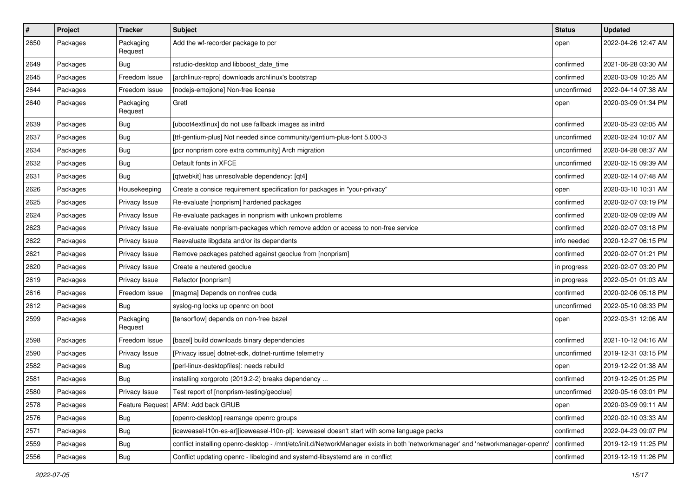| $\#$ | Project  | <b>Tracker</b>       | <b>Subject</b>                                                                                                                 | <b>Status</b> | <b>Updated</b>      |
|------|----------|----------------------|--------------------------------------------------------------------------------------------------------------------------------|---------------|---------------------|
| 2650 | Packages | Packaging<br>Request | Add the wf-recorder package to pcr                                                                                             | open          | 2022-04-26 12:47 AM |
| 2649 | Packages | Bug                  | rstudio-desktop and libboost date time                                                                                         | confirmed     | 2021-06-28 03:30 AM |
| 2645 | Packages | Freedom Issue        | [archlinux-repro] downloads archlinux's bootstrap                                                                              | confirmed     | 2020-03-09 10:25 AM |
| 2644 | Packages | Freedom Issue        | [nodejs-emojione] Non-free license                                                                                             | unconfirmed   | 2022-04-14 07:38 AM |
| 2640 | Packages | Packaging<br>Request | Gretl                                                                                                                          | open          | 2020-03-09 01:34 PM |
| 2639 | Packages | Bug                  | [uboot4extlinux] do not use fallback images as initrd                                                                          | confirmed     | 2020-05-23 02:05 AM |
| 2637 | Packages | <b>Bug</b>           | [ttf-gentium-plus] Not needed since community/gentium-plus-font 5.000-3                                                        | unconfirmed   | 2020-02-24 10:07 AM |
| 2634 | Packages | <b>Bug</b>           | [pcr nonprism core extra community] Arch migration                                                                             | unconfirmed   | 2020-04-28 08:37 AM |
| 2632 | Packages | Bug                  | Default fonts in XFCE                                                                                                          | unconfirmed   | 2020-02-15 09:39 AM |
| 2631 | Packages | Bug                  | [qtwebkit] has unresolvable dependency: [qt4]                                                                                  | confirmed     | 2020-02-14 07:48 AM |
| 2626 | Packages | Housekeeping         | Create a consice requirement specification for packages in "your-privacy"                                                      | open          | 2020-03-10 10:31 AM |
| 2625 | Packages | Privacy Issue        | Re-evaluate [nonprism] hardened packages                                                                                       | confirmed     | 2020-02-07 03:19 PM |
| 2624 | Packages | Privacy Issue        | Re-evaluate packages in nonprism with unkown problems                                                                          | confirmed     | 2020-02-09 02:09 AM |
| 2623 | Packages | Privacy Issue        | Re-evaluate nonprism-packages which remove addon or access to non-free service                                                 | confirmed     | 2020-02-07 03:18 PM |
| 2622 | Packages | Privacy Issue        | Reevaluate libgdata and/or its dependents                                                                                      | info needed   | 2020-12-27 06:15 PM |
| 2621 | Packages | Privacy Issue        | Remove packages patched against geoclue from [nonprism]                                                                        | confirmed     | 2020-02-07 01:21 PM |
| 2620 | Packages | Privacy Issue        | Create a neutered geoclue                                                                                                      | in progress   | 2020-02-07 03:20 PM |
| 2619 | Packages | Privacy Issue        | Refactor [nonprism]                                                                                                            | in progress   | 2022-05-01 01:03 AM |
| 2616 | Packages | Freedom Issue        | [magma] Depends on nonfree cuda                                                                                                | confirmed     | 2020-02-06 05:18 PM |
| 2612 | Packages | Bug                  | syslog-ng locks up openrc on boot                                                                                              | unconfirmed   | 2022-05-10 08:33 PM |
| 2599 | Packages | Packaging<br>Request | [tensorflow] depends on non-free bazel                                                                                         | open          | 2022-03-31 12:06 AM |
| 2598 | Packages | Freedom Issue        | [bazel] build downloads binary dependencies                                                                                    | confirmed     | 2021-10-12 04:16 AM |
| 2590 | Packages | Privacy Issue        | [Privacy issue] dotnet-sdk, dotnet-runtime telemetry                                                                           | unconfirmed   | 2019-12-31 03:15 PM |
| 2582 | Packages | Bug                  | [perl-linux-desktopfiles]: needs rebuild                                                                                       | open          | 2019-12-22 01:38 AM |
| 2581 | Packages | Bug                  | installing xorgproto (2019.2-2) breaks dependency                                                                              | confirmed     | 2019-12-25 01:25 PM |
| 2580 | Packages | Privacy Issue        | Test report of [nonprism-testing/geoclue]                                                                                      | unconfirmed   | 2020-05-16 03:01 PM |
| 2578 | Packages |                      | Feature Request   ARM: Add back GRUB                                                                                           | open          | 2020-03-09 09:11 AM |
| 2576 | Packages | <b>Bug</b>           | [openrc-desktop] rearrange openrc groups                                                                                       | confirmed     | 2020-02-10 03:33 AM |
| 2571 | Packages | <b>Bug</b>           | [iceweasel-l10n-es-ar][iceweasel-l10n-pl]: lceweasel doesn't start with some language packs                                    | confirmed     | 2022-04-23 09:07 PM |
| 2559 | Packages | <b>Bug</b>           | conflict installing openrc-desktop - /mnt/etc/init.d/NetworkManager exists in both 'networkmanager' and 'networkmanager-openrc | confirmed     | 2019-12-19 11:25 PM |
| 2556 | Packages | <b>Bug</b>           | Conflict updating openrc - libelogind and systemd-libsystemd are in conflict                                                   | confirmed     | 2019-12-19 11:26 PM |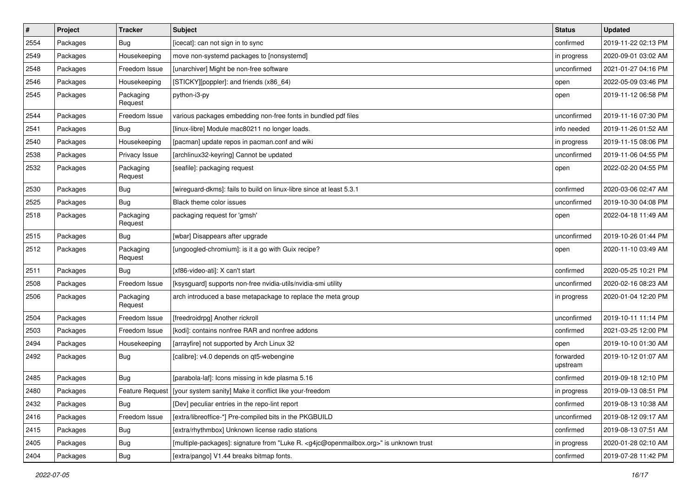| #    | Project  | <b>Tracker</b>       | <b>Subject</b>                                                                                               | <b>Status</b>         | <b>Updated</b>      |
|------|----------|----------------------|--------------------------------------------------------------------------------------------------------------|-----------------------|---------------------|
| 2554 | Packages | <b>Bug</b>           | [icecat]: can not sign in to sync                                                                            | confirmed             | 2019-11-22 02:13 PM |
| 2549 | Packages | Housekeeping         | move non-systemd packages to [nonsystemd]                                                                    | in progress           | 2020-09-01 03:02 AM |
| 2548 | Packages | Freedom Issue        | [unarchiver] Might be non-free software                                                                      | unconfirmed           | 2021-01-27 04:16 PM |
| 2546 | Packages | Housekeeping         | [STICKY][poppler]: and friends (x86_64)                                                                      | open                  | 2022-05-09 03:46 PM |
| 2545 | Packages | Packaging<br>Request | python-i3-py                                                                                                 | open                  | 2019-11-12 06:58 PM |
| 2544 | Packages | Freedom Issue        | various packages embedding non-free fonts in bundled pdf files                                               | unconfirmed           | 2019-11-16 07:30 PM |
| 2541 | Packages | <b>Bug</b>           | [linux-libre] Module mac80211 no longer loads.                                                               | info needed           | 2019-11-26 01:52 AM |
| 2540 | Packages | Housekeeping         | [pacman] update repos in pacman.conf and wiki                                                                | in progress           | 2019-11-15 08:06 PM |
| 2538 | Packages | Privacy Issue        | [archlinux32-keyring] Cannot be updated                                                                      | unconfirmed           | 2019-11-06 04:55 PM |
| 2532 | Packages | Packaging<br>Request | [seafile]: packaging request                                                                                 | open                  | 2022-02-20 04:55 PM |
| 2530 | Packages | <b>Bug</b>           | [wireguard-dkms]: fails to build on linux-libre since at least 5.3.1                                         | confirmed             | 2020-03-06 02:47 AM |
| 2525 | Packages | Bug                  | Black theme color issues                                                                                     | unconfirmed           | 2019-10-30 04:08 PM |
| 2518 | Packages | Packaging<br>Request | packaging request for 'gmsh'                                                                                 | open                  | 2022-04-18 11:49 AM |
| 2515 | Packages | <b>Bug</b>           | [wbar] Disappears after upgrade                                                                              | unconfirmed           | 2019-10-26 01:44 PM |
| 2512 | Packages | Packaging<br>Request | [ungoogled-chromium]: is it a go with Guix recipe?                                                           | open                  | 2020-11-10 03:49 AM |
| 2511 | Packages | <b>Bug</b>           | [xf86-video-ati]: X can't start                                                                              | confirmed             | 2020-05-25 10:21 PM |
| 2508 | Packages | Freedom Issue        | [ksysguard] supports non-free nvidia-utils/nvidia-smi utility                                                | unconfirmed           | 2020-02-16 08:23 AM |
| 2506 | Packages | Packaging<br>Request | arch introduced a base metapackage to replace the meta group                                                 | in progress           | 2020-01-04 12:20 PM |
| 2504 | Packages | Freedom Issue        | [freedroidrpg] Another rickroll                                                                              | unconfirmed           | 2019-10-11 11:14 PM |
| 2503 | Packages | Freedom Issue        | [kodi]: contains nonfree RAR and nonfree addons                                                              | confirmed             | 2021-03-25 12:00 PM |
| 2494 | Packages | Housekeeping         | [arrayfire] not supported by Arch Linux 32                                                                   | open                  | 2019-10-10 01:30 AM |
| 2492 | Packages | <b>Bug</b>           | [calibre]: v4.0 depends on qt5-webengine                                                                     | forwarded<br>upstream | 2019-10-12 01:07 AM |
| 2485 | Packages | Bug                  | [parabola-laf]: Icons missing in kde plasma 5.16                                                             | confirmed             | 2019-09-18 12:10 PM |
| 2480 | Packages |                      | Feature Request   [your system sanity] Make it conflict like your-freedom                                    | in progress           | 2019-09-13 08:51 PM |
| 2432 | Packages | Bug                  | [Dev] peculiar entries in the repo-lint report                                                               | confirmed             | 2019-08-13 10:38 AM |
| 2416 | Packages | Freedom Issue        | [extra/libreoffice-*] Pre-compiled bits in the PKGBUILD                                                      | unconfirmed           | 2019-08-12 09:17 AM |
| 2415 | Packages | <b>Bug</b>           | [extra/rhythmbox] Unknown license radio stations                                                             | confirmed             | 2019-08-13 07:51 AM |
| 2405 | Packages | Bug                  | [multiple-packages]: signature from "Luke R. <g4jc@openmailbox.org>" is unknown trust</g4jc@openmailbox.org> | in progress           | 2020-01-28 02:10 AM |
| 2404 | Packages | Bug                  | [extra/pango] V1.44 breaks bitmap fonts.                                                                     | confirmed             | 2019-07-28 11:42 PM |